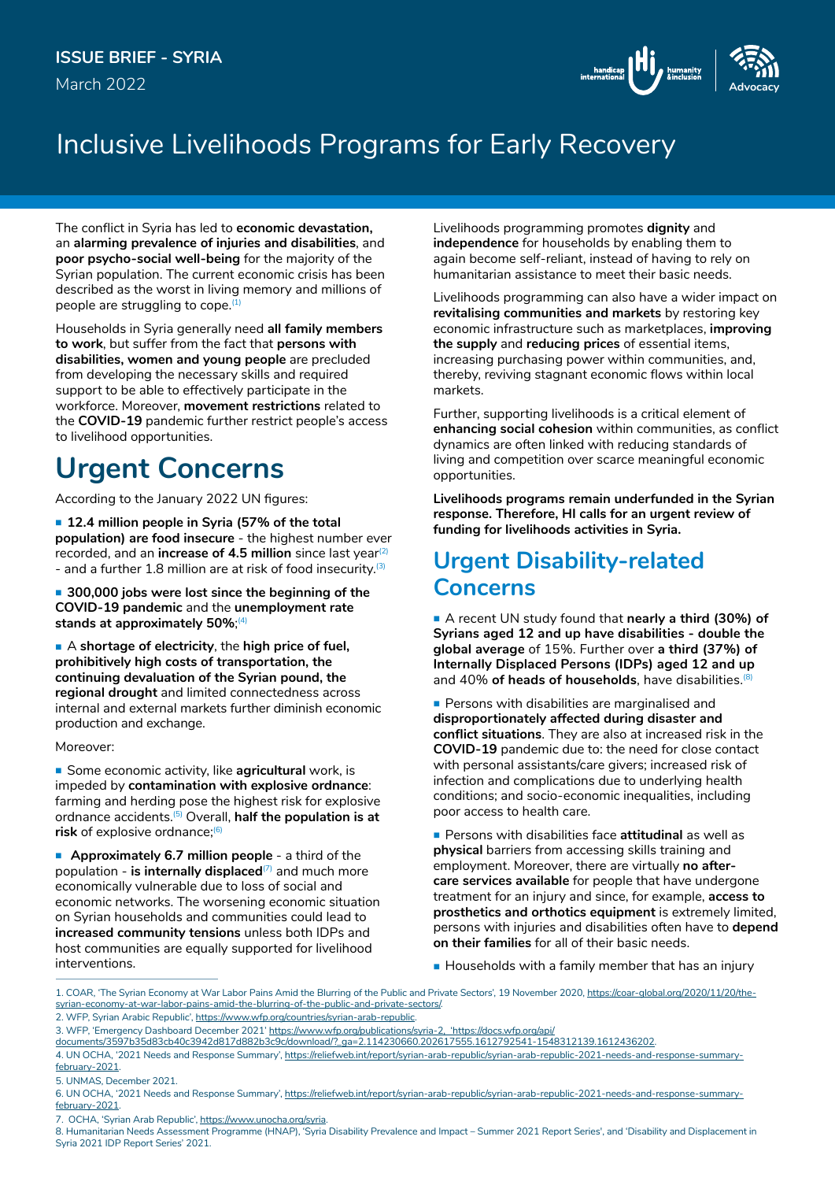March 2022



## Inclusive Livelihoods Programs for Early Recovery

The conflict in Syria has led to **economic devastation,**  an **alarming prevalence of injuries and disabilities**, and **poor psycho-social well-being** for the majority of the Syrian population. The current economic crisis has been described as the worst in living memory and millions of people are struggling to cope. $(1)$ 

Households in Syria generally need **all family members to work**, but suffer from the fact that **persons with disabilities, women and young people** are precluded from developing the necessary skills and required support to be able to effectively participate in the workforce. Moreover, **movement restrictions** related to the **COVID-19** pandemic further restrict people's access to livelihood opportunities.

# **Urgent Concerns**

According to the January 2022 UN figures:

 **12.4 million people in Syria (57% of the total population) are food insecure** - the highest number ever recorded, and an **increase of 4.5 million** since last year(2) - and a further 1.8 million are at risk of food insecurity.  $(3)$ 

■ 300,000 jobs were lost since the beginning of the **COVID-19 pandemic** and the **unemployment rate stands at approximately 50%**; (4)

 A **shortage of electricity**, the **high price of fuel, prohibitively high costs of transportation, the continuing devaluation of the Syrian pound, the regional drought** and limited connectedness across internal and external markets further diminish economic production and exchange.

Moreover:

**Some economic activity, like agricultural** work, is impeded by **contamination with explosive ordnance**: farming and herding pose the highest risk for explosive ordnance accidents.(5) Overall, **half the population is at risk** of explosive ordnance;(6)

**Approximately 6.7 million people** - a third of the population - **is internally displaced**<sup>(7)</sup> and much more economically vulnerable due to loss of social and economic networks. The worsening economic situation on Syrian households and communities could lead to **increased community tensions** unless both IDPs and host communities are equally supported for livelihood interventions.

Livelihoods programming promotes **dignity** and **independence** for households by enabling them to again become self-reliant, instead of having to rely on humanitarian assistance to meet their basic needs.

Livelihoods programming can also have a wider impact on **revitalising communities and markets** by restoring key economic infrastructure such as marketplaces, **improving the supply** and **reducing prices** of essential items, increasing purchasing power within communities, and, thereby, reviving stagnant economic flows within local markets.

Further, supporting livelihoods is a critical element of **enhancing social cohesion** within communities, as conflict dynamics are often linked with reducing standards of living and competition over scarce meaningful economic opportunities.

**Livelihoods programs remain underfunded in the Syrian response. Therefore, HI calls for an urgent review of funding for livelihoods activities in Syria.**

### **Urgent Disability-related Concerns**

 A recent UN study found that **nearly a third (30%) of Syrians aged 12 and up have disabilities - double the global average** of 15%. Further over **a third (37%) of Internally Displaced Persons (IDPs) aged 12 and up** and 40% **of heads of households**, have disabilities. (8)

**Persons with disabilities are marginalised and disproportionately affected during disaster and conflict situations**. They are also at increased risk in the **COVID-19** pandemic due to: the need for close contact with personal assistants/care givers; increased risk of infection and complications due to underlying health conditions; and socio-economic inequalities, including poor access to health care.

 Persons with disabilities face **attitudinal** as well as **physical** barriers from accessing skills training and employment. Moreover, there are virtually **no aftercare services available** for people that have undergone treatment for an injury and since, for example, **access to prosthetics and orthotics equipment** is extremely limited, persons with injuries and disabilities often have to **depend on their families** for all of their basic needs.

Households with a family member that has an injury

2. WFP, Syrian Arabic Republic', [https://www.wfp.org/countries/syrian-arab-republic.](https://www.wfp.org/countries/syrian-arab-republic)

7. OCHA, 'Syrian Arab Republic', <https://www.unocha.org/syria>.

<sup>1.</sup> COAR, 'The Syrian Economy at War Labor Pains Amid the Blurring of the Public and Private Sectors', 19 November 2020, [https://coar-global.org/2020/11/20/the](https://coar-global.org/2020/11/20/the-syrian-economy-at-war-labor-pains-amid-the-blurring-of-the-public-and-private-sectors/)[syrian-economy-at-war-labor-pains-amid-the-blurring-of-the-public-and-private-sectors/](https://coar-global.org/2020/11/20/the-syrian-economy-at-war-labor-pains-amid-the-blurring-of-the-public-and-private-sectors/).

<sup>3.</sup> WFP, 'Emergency Dashboard December 2021' https://www.wfp.org/publications/syria-2, 'https://docs.wfp.org/api/

documents/3597b35d83cb40c3942d817d882b3c9c/download/?\_ga=2.114230660.202617555.1612792541-1548312139.1612436202.

<sup>4.</sup> UN OCHA, '2021 Needs and Response Summary', [https://reliefweb.int/report/syrian-arab-republic/syrian-arab-republic-2021-needs-and-response-summary](https://reliefweb.int/report/syrian-arab-republic/syrian-arab-republic-2021-needs-and-response-summary-february-2021)[february-2021.](https://reliefweb.int/report/syrian-arab-republic/syrian-arab-republic-2021-needs-and-response-summary-february-2021)

<sup>5.</sup> UNMAS, December 2021.

<sup>6.</sup> UN OCHA, '2021 Needs and Response Summary', [https://reliefweb.int/report/syrian-arab-republic/syrian-arab-republic-2021-needs-and-response-summary](https://reliefweb.int/report/syrian-arab-republic/syrian-arab-republic-2021-needs-and-response-summary-february-2021)[february-2021.](https://reliefweb.int/report/syrian-arab-republic/syrian-arab-republic-2021-needs-and-response-summary-february-2021)

<sup>8.</sup> Humanitarian Needs Assessment Programme (HNAP), 'Syria Disability Prevalence and Impact – Summer 2021 Report Series', and 'Disability and Displacement in Syria 2021 IDP Report Series' 2021.